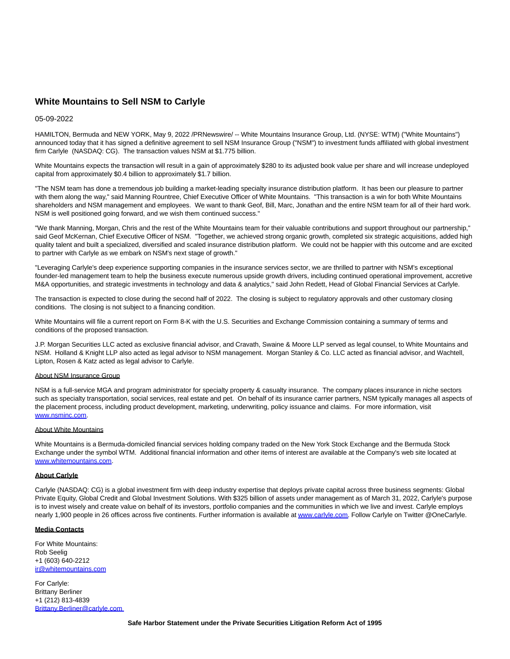# **White Mountains to Sell NSM to Carlyle**

## 05-09-2022

HAMILTON, Bermuda and NEW YORK, May 9, 2022 /PRNewswire/ -- White Mountains Insurance Group, Ltd. (NYSE: WTM) ("White Mountains") announced today that it has signed a definitive agreement to sell NSM Insurance Group ("NSM") to investment funds affiliated with global investment firm Carlyle (NASDAQ: CG). The transaction values NSM at \$1.775 billion.

White Mountains expects the transaction will result in a gain of approximately \$280 to its adjusted book value per share and will increase undeployed capital from approximately \$0.4 billion to approximately \$1.7 billion.

"The NSM team has done a tremendous job building a market-leading specialty insurance distribution platform. It has been our pleasure to partner with them along the way," said Manning Rountree, Chief Executive Officer of White Mountains. "This transaction is a win for both White Mountains shareholders and NSM management and employees. We want to thank Geof, Bill, Marc, Jonathan and the entire NSM team for all of their hard work. NSM is well positioned going forward, and we wish them continued success."

"We thank Manning, Morgan, Chris and the rest of the White Mountains team for their valuable contributions and support throughout our partnership," said Geof McKernan, Chief Executive Officer of NSM. "Together, we achieved strong organic growth, completed six strategic acquisitions, added high quality talent and built a specialized, diversified and scaled insurance distribution platform. We could not be happier with this outcome and are excited to partner with Carlyle as we embark on NSM's next stage of growth."

"Leveraging Carlyle's deep experience supporting companies in the insurance services sector, we are thrilled to partner with NSM's exceptional founder-led management team to help the business execute numerous upside growth drivers, including continued operational improvement, accretive M&A opportunities, and strategic investments in technology and data & analytics," said John Redett, Head of Global Financial Services at Carlyle.

The transaction is expected to close during the second half of 2022. The closing is subject to regulatory approvals and other customary closing conditions. The closing is not subject to a financing condition.

White Mountains will file a current report on Form 8-K with the U.S. Securities and Exchange Commission containing a summary of terms and conditions of the proposed transaction.

J.P. Morgan Securities LLC acted as exclusive financial advisor, and Cravath, Swaine & Moore LLP served as legal counsel, to White Mountains and NSM. Holland & Knight LLP also acted as legal advisor to NSM management. Morgan Stanley & Co. LLC acted as financial advisor, and Wachtell, Lipton, Rosen & Katz acted as legal advisor to Carlyle.

### About NSM Insurance Group

NSM is a full-service MGA and program administrator for specialty property & casualty insurance. The company places insurance in niche sectors such as specialty transportation, social services, real estate and pet. On behalf of its insurance carrier partners, NSM typically manages all aspects of the placement process, including product development, marketing, underwriting, policy issuance and claims. For more information, visit [www.nsminc.com.](https://c212.net/c/link/?t=0&l=en&o=3529727-1&h=4246621455&u=http%3A%2F%2Fwww.nsminc.com%2F&a=www.nsminc.com)

## About White Mountains

White Mountains is a Bermuda-domiciled financial services holding company traded on the New York Stock Exchange and the Bermuda Stock Exchange under the symbol WTM. Additional financial information and other items of interest are available at the Company's web site located at [www.whitemountains.com.](https://c212.net/c/link/?t=0&l=en&o=3529727-1&h=770885973&u=http%3A%2F%2Fwww.whitemountains.com%2F&a=www.whitemountains.com)

## **About Carlyle**

Carlyle (NASDAQ: CG) is a global investment firm with deep industry expertise that deploys private capital across three business segments: Global Private Equity, Global Credit and Global Investment Solutions. With \$325 billion of assets under management as of March 31, 2022, Carlyle's purpose is to invest wisely and create value on behalf of its investors, portfolio companies and the communities in which we live and invest. Carlyle employs nearly 1,900 people in 26 offices across five continents. Further information is available a[t www.carlyle.com.](http://www.carlyle.com/) Follow Carlyle on Twitter @OneCarlyle.

### **Media Contacts**

For White Mountains: Rob Seelig +1 (603) 640-2212 [ir@whitemountains.com](mailto:ir@whitemountains.com)

For Carlyle: Brittany Berliner +1 (212) 813-4839 [Brittany.Berliner@carlyle.com](mailto:Brittany.Berliner@carlyle.com)